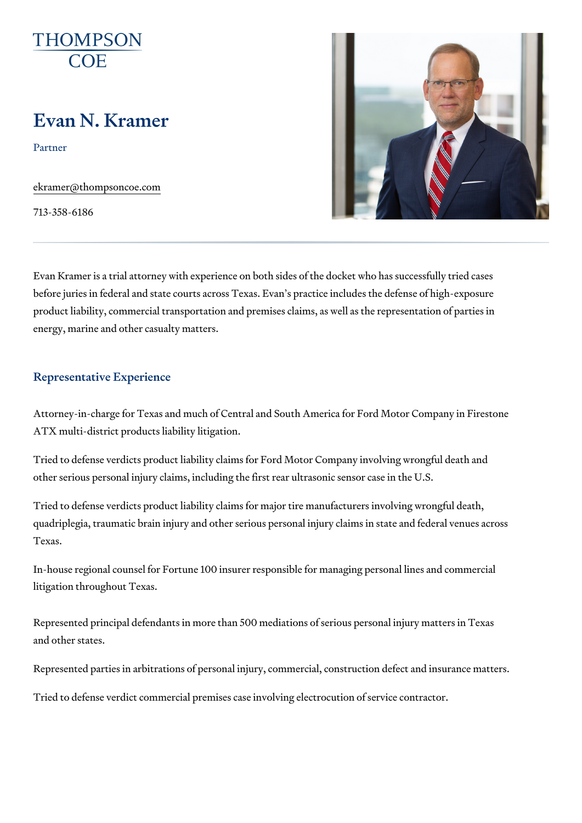# Evan N. Kramer

Partner

[ekramer@thompso](mailto:ekramer@thompsoncoe.com)ncoe.com

713-358-6186

Evan Kramer is a trial attorney with experience on both sides of the docke before juries in federal and state courts across Texas. Evan s practice inc product liability, commercial transportation and premises claims, as well a energy, marine and other casualty matters.

### Representative Experience

Attorney-in-charge for Texas and much of Central and South America for F ATX multi-district products liability litigation.

Tried to defense verdicts product liability claims for Ford Motor Company in other serious personal injury claims, including the first rear ultrasonic ser

Tried to defense verdicts product liability claims for major tire manufactur quadriplegia, traumatic brain injury and other serious personal injury clain Texas.

In-house regional counsel for Fortune 100 insurer responsible for managin litigation throughout Texas.

Represented principal defendants in more than 500 mediations of serious p and other states.

Represented parties in arbitrations of personal injury, commercial, constru

Tried to defense verdict commercial premises case involving electrocution